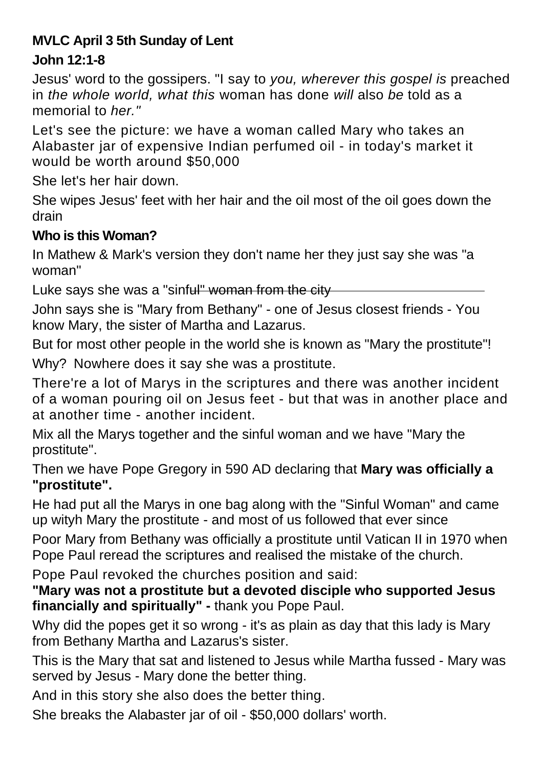## **MVLC April 3 5th Sunday of Lent**

## **John 12:1-8**

Jesus' word to the gossipers. "I say to *you, wherever this gospel is* preached in *the whole world, what this* woman has done *will* also *be* told as a memorial to *her."* 

Let's see the picture: we have a woman called Mary who takes an Alabaster jar of expensive Indian perfumed oil - in today's market it would be worth around \$50,000

She let's her hair down.

She wipes Jesus' feet with her hair and the oil most of the oil goes down the drain

## **Who is this Woman?**

In Mathew & Mark's version they don't name her they just say she was "a woman"

Luke says she was a "sinful" woman from the city

John says she is "Mary from Bethany" - one of Jesus closest friends - You know Mary, the sister of Martha and Lazarus.

But for most other people in the world she is known as "Mary the prostitute"! Why? Nowhere does it say she was a prostitute.

There're a lot of Marys in the scriptures and there was another incident of a woman pouring oil on Jesus feet - but that was in another place and at another time - another incident.

Mix all the Marys together and the sinful woman and we have "Mary the prostitute".

Then we have Pope Gregory in 590 AD declaring that **Mary was officially a "prostitute".** 

He had put all the Marys in one bag along with the "Sinful Woman" and came up wityh Mary the prostitute - and most of us followed that ever since

Poor Mary from Bethany was officially a prostitute until Vatican II in 1970 when Pope Paul reread the scriptures and realised the mistake of the church.

Pope Paul revoked the churches position and said:

**"Mary was not a prostitute but a devoted disciple who supported Jesus financially and spiritually" -** thank you Pope Paul.

Why did the popes get it so wrong - it's as plain as day that this lady is Mary from Bethany Martha and Lazarus's sister.

This is the Mary that sat and listened to Jesus while Martha fussed - Mary was served by Jesus - Mary done the better thing.

And in this story she also does the better thing.

She breaks the Alabaster jar of oil - \$50,000 dollars' worth.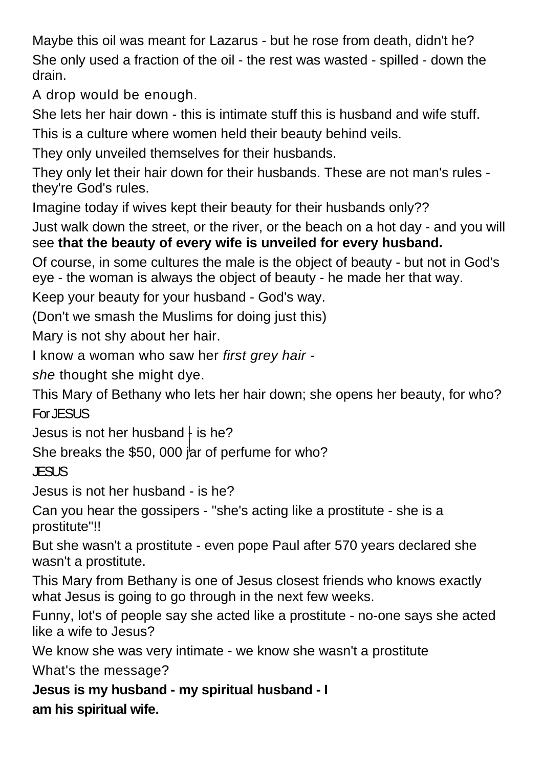Maybe this oil was meant for Lazarus - but he rose from death, didn't he? She only used a fraction of the oil - the rest was wasted - spilled - down the drain.

A drop would be enough.

She lets her hair down - this is intimate stuff this is husband and wife stuff.

This is a culture where women held their beauty behind veils.

They only unveiled themselves for their husbands.

They only let their hair down for their husbands. These are not man's rules they're God's rules.

Imagine today if wives kept their beauty for their husbands only??

Just walk down the street, or the river, or the beach on a hot day - and you will see **that the beauty of every wife is unveiled for every husband.**

Of course, in some cultures the male is the object of beauty - but not in God's eye - the woman is always the object of beauty - he made her that way.

Keep your beauty for your husband - God's way.

(Don't we smash the Muslims for doing just this)

Mary is not shy about her hair.

I know a woman who saw her *first grey hair -*

*she* thought she might dye.

This Mary of Bethany who lets her hair down; she opens her beauty, for who? For JESUS

Jesus is not her husband  $\frac{1}{2}$  is he?

She breaks the \$50, 000 jar of perfume for who?

JESUS

Jesus is not her husband - is he?

Can you hear the gossipers - "she's acting like a prostitute - she is a prostitute"!!

But she wasn't a prostitute - even pope Paul after 570 years declared she wasn't a prostitute.

This Mary from Bethany is one of Jesus closest friends who knows exactly what Jesus is going to go through in the next few weeks.

Funny, lot's of people say she acted like a prostitute - no-one says she acted like a wife to Jesus?

We know she was very intimate - we know she wasn't a prostitute

What's the message?

**Jesus is my husband - my spiritual husband - I am his spiritual wife.**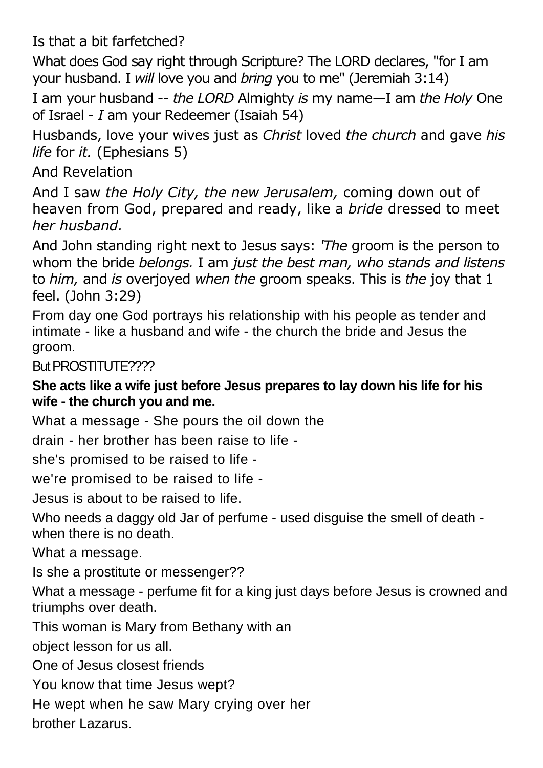Is that a bit farfetched?

What does God say right through Scripture? The LORD declares, "for I am your husband. I *will* love you and *bring* you to me" (Jeremiah 3:14)

I am your husband -- *the LORD* Almighty *is* my name—I am *the Holy* One of Israel - *I* am your Redeemer (Isaiah 54)

Husbands, love your wives just as *Christ* loved *the church* and gave *his life* for *it.* (Ephesians 5)

And Revelation

And I saw *the Holy City, the new Jerusalem,* coming down out of heaven from God, prepared and ready, like a *bride* dressed to meet *her husband.*

And John standing right next to Jesus says: *'The* groom is the person to whom the bride *belongs.* I am *just the best man, who stands and listens*  to *him,* and *is* overjoyed *when the* groom speaks. This is *the* joy that 1 feel. (John 3:29)

From day one God portrays his relationship with his people as tender and intimate - like a husband and wife - the church the bride and Jesus the groom.

But PROSTITUTE????

**She acts like a wife just before Jesus prepares to lay down his life for his wife - the church you and me.** 

What a message - She pours the oil down the

drain - her brother has been raise to life -

she's promised to be raised to life -

we're promised to be raised to life -

Jesus is about to be raised to life.

Who needs a daggy old Jar of perfume - used disguise the smell of death when there is no death.

What a message.

Is she a prostitute or messenger??

What a message - perfume fit for a king just days before Jesus is crowned and triumphs over death.

This woman is Mary from Bethany with an

object lesson for us all.

One of Jesus closest friends

You know that time Jesus wept?

He wept when he saw Mary crying over her

brother Lazarus.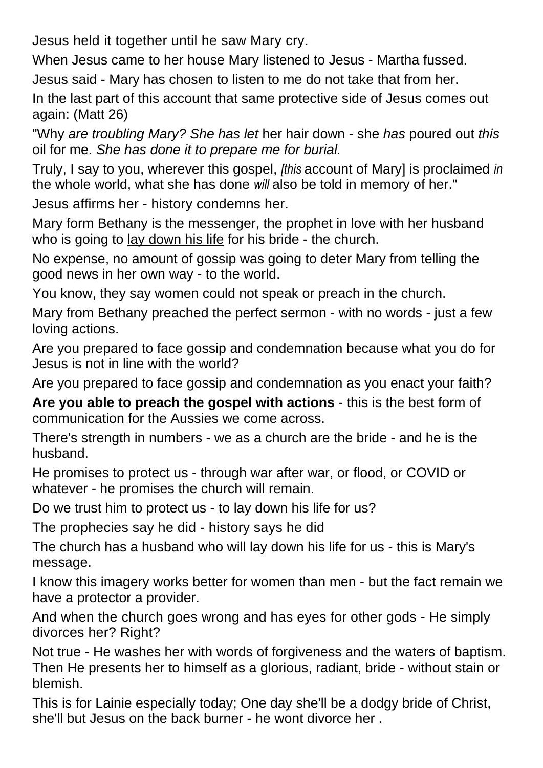Jesus held it together until he saw Mary cry.

When Jesus came to her house Mary listened to Jesus - Martha fussed.

Jesus said - Mary has chosen to listen to me do not take that from her.

In the last part of this account that same protective side of Jesus comes out again: (Matt 26)

"Why *are troubling Mary? She has let* her hair down - she *has* poured out *this*  oil for me. *She has done it to prepare me for burial.*

Truly, I say to you, wherever this gospel, *[this* account of Mary] is proclaimed *in*  the whole world, what she has done *will* also be told in memory of her."

Jesus affirms her - history condemns her.

Mary form Bethany is the messenger, the prophet in love with her husband who is going to lay down his life for his bride - the church.

No expense, no amount of gossip was going to deter Mary from telling the good news in her own way - to the world.

You know, they say women could not speak or preach in the church.

Mary from Bethany preached the perfect sermon - with no words - just a few loving actions.

Are you prepared to face gossip and condemnation because what you do for Jesus is not in line with the world?

Are you prepared to face gossip and condemnation as you enact your faith?

**Are you able to preach the gospel with actions** - this is the best form of communication for the Aussies we come across.

There's strength in numbers - we as a church are the bride - and he is the husband.

He promises to protect us - through war after war, or flood, or COVID or whatever - he promises the church will remain.

Do we trust him to protect us - to lay down his life for us?

The prophecies say he did - history says he did

The church has a husband who will lay down his life for us - this is Mary's message.

I know this imagery works better for women than men - but the fact remain we have a protector a provider.

And when the church goes wrong and has eyes for other gods - He simply divorces her? Right?

Not true - He washes her with words of forgiveness and the waters of baptism. Then He presents her to himself as a glorious, radiant, bride - without stain or blemish.

This is for Lainie especially today; One day she'll be a dodgy bride of Christ, she'll but Jesus on the back burner - he wont divorce her .